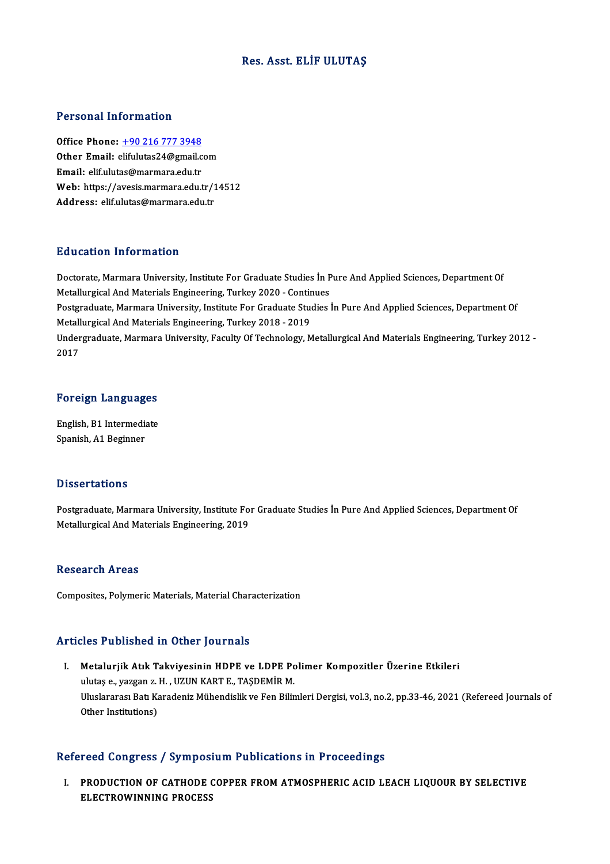# Res. Asst. ELİF ULUTAŞ

# Personal Information

Office Phone: +90 216 777 3948 office Phone: <u>+90 216 777 3948</u><br>Other Email: [elifulutas24@gmail.c](tel:+90 216 777 3948)om<br>Email: elifulutas@marmara.com Office Phone: <u>+90 216 777 3948</u><br>Other Email: elifulutas24@gmail.c<br>Email: elif.ulutas@marmara.edu.tr Other Email: elifulutas24@gmail.com<br>Email: elif.ulutas@marmara.edu.tr<br>Web: https://avesis.marmara.edu.tr/14512<br>Addressy.elif.ulutes@marmara.edu.tr Email: elif.ulutas@marmara.edu.tr<br>Web: https://avesis.marmara.edu.tr/14512<br>Address: elif.ulutas@marmara.edu.tr

# Education Information

Education Information<br>Doctorate, Marmara University, Institute For Graduate Studies İn Pure And Applied Sciences, Department Of<br>Metallurgiaal And Materials Engineering Turkey 2020, Continues Metaluren III.<br>Metallurgical And Materials Engineering, Turkey 2020 - Continues<br>Restanduate Marmare University, Institute For Craduate Studies Postgraduate, Marmara University, Institute For Graduate Studies İn Pure And Applied Sciences, Department Of<br>Metallurgical And Materials Engineering, Turkey 2018 - 2019 Metallurgical And Materials Engineering, Turkey 2020 - Continues Postgraduate, Marmara University, Institute For Graduate Studies İn Pure And Applied Sciences, Department Of<br>Metallurgical And Materials Engineering, Turkey 2018 - 2019<br>Undergraduate, Marmara University, Faculty Of Technol Metall<br>Under<br>2017

# <sub>2017</sub><br>Foreign Languages

**Foreign Languages<br>English, B1 Intermediate<br>Spanish, A1 Beginner** English, B1 Intermediate<br>Spanish, A1 Beginner

#### **Dissertations**

Dissertations<br>Postgraduate, Marmara University, Institute For Graduate Studies İn Pure And Applied Sciences, Department Of<br>Metallurgiaal And Meterials Engineering, 2019 Basser tatroms<br>Postgraduate, Marmara University, Institute Fo<br>Metallurgical And Materials Engineering, 2019 Metallurgical And Materials Engineering, 2019<br>Research Areas

Composites, Polymeric Materials, Material Characterization

### Articles Published in Other Journals

I. Metalurjik Atık Takviyesinin HDPE ve LDPE Polimer Kompozitler Üzerine Etkileri<br>I. Metalurjik Atık Takviyesinin HDPE ve LDPE Polimer Kompozitler Üzerine Etkileri<br>Wittes 8. Yazzar z. H. HZUN KART E. TASDEMİR M ulutaş e., yazgan z. H. , UZUN KART E., TAŞDEMİR M.<br>Metalurjik Atık Takviyesinin HDPE ve LDPE Po<br>Uluslararası Batı Karadaniz Mühandislik ve Ean Bilir Uluslararası Batı Karadeniz Mühendislik ve Fen Bilimleri Dergisi, vol.3, no.2, pp.33-46, 2021 (Refereed Journals of<br>Other Institutions) ulutas e., yazgan z. H., UZUN KART E., TAŞDEMİR M.

# Refereed Congress / Symposium Publications in Proceedings

efereed Congress / Symposium Publications in Proceedings<br>I. PRODUCTION OF CATHODE COPPER FROM ATMOSPHERIC ACID LEACH LIQUOUR BY SELECTIVE TECA CONGLOSS / CYMPOS.<br>PRODUCTION OF CATHODE (<br>ELECTROWINNING PROCESS